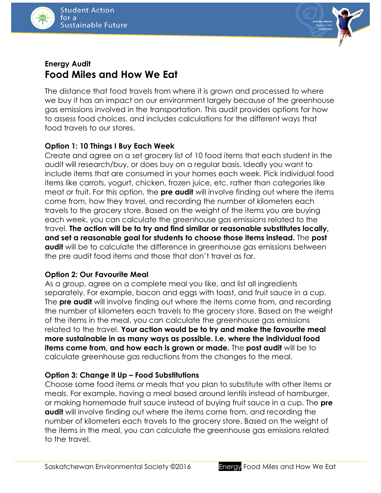



# **Energy Audit Food Miles and How We Eat**

The distance that food travels from where it is grown and processed to where we buy it has an impact on our environment largely because of the greenhouse gas emissions involved in the transportation. This audit provides options for how to assess food choices, and includes calculations for the different ways that food travels to our stores.

# **Option 1: 10 Things I Buy Each Week**

Create and agree on a set grocery list of 10 food items that each student in the audit will research/buy, or does buy on a regular basis. Ideally you want to include items that are consumed in your homes each week. Pick individual food items like carrots, yogurt, chicken, frozen juice, etc. rather than categories like meat or fruit. For this option, the **pre audit** will involve finding out where the items come from, how they travel, and recording the number of kilometers each travels to the grocery store. Based on the weight of the items you are buying each week, you can calculate the greenhouse gas emissions related to the travel. **The action will be to try and find similar or reasonable substitutes locally, and set a reasonable goal for students to choose those items instead.** The **post audit** will be to calculate the difference in greenhouse gas emissions between the pre audit food items and those that don't travel as far.

# **Option 2: Our Favourite Meal**

As a group, agree on a complete meal you like, and list all ingredients separately. For example, bacon and eggs with toast, and fruit sauce in a cup. The **pre audit** will involve finding out where the items come from, and recording the number of kilometers each travels to the grocery store. Based on the weight of the items in the meal, you can calculate the greenhouse gas emissions related to the travel. **Your action would be to try and make the favourite meal more sustainable in as many ways as possible. I.e. where the individual food items come from, and how each is grown or made.** The **post audit** will be to calculate greenhouse gas reductions from the changes to the meal.

# **Option 3: Change it Up – Food Substitutions**

Choose some food items or meals that you plan to substitute with other items or meals. For example, having a meal based around lentils instead of hamburger, or making homemade fruit sauce instead of buying fruit sauce in a cup. The **pre audit** will involve finding out where the items come from, and recording the number of kilometers each travels to the grocery store. Based on the weight of the items in the meal, you can calculate the greenhouse gas emissions related to the travel.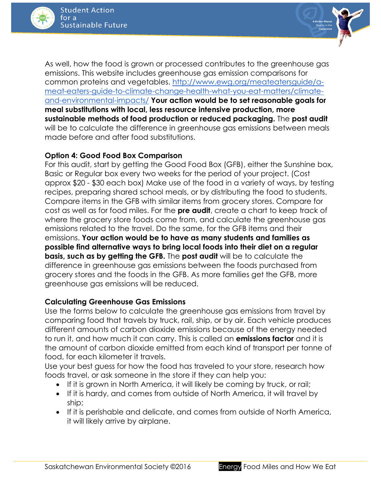



As well, how the food is grown or processed contributes to the greenhouse gas emissions. This website includes greenhouse gas emission comparisons for common proteins and vegetables. [http://www.ewg.org/meateatersguide/a](http://www.ewg.org/meateatersguide/a-meat-eaters-guide-to-climate-change-health-what-you-eat-matters/climate-and-environmental-impacts/)[meat-eaters-guide-to-climate-change-health-what-you-eat-matters/climate](http://www.ewg.org/meateatersguide/a-meat-eaters-guide-to-climate-change-health-what-you-eat-matters/climate-and-environmental-impacts/)[and-environmental-impacts/](http://www.ewg.org/meateatersguide/a-meat-eaters-guide-to-climate-change-health-what-you-eat-matters/climate-and-environmental-impacts/) **Your action would be to set reasonable goals for meal substitutions with local, less resource intensive production, more sustainable methods of food production or reduced packaging.** The **post audit** will be to calculate the difference in greenhouse gas emissions between meals made before and after food substitutions.

### **Option 4: Good Food Box Comparison**

For this audit, start by getting the Good Food Box (GFB), either the Sunshine box, Basic or Regular box every two weeks for the period of your project. (Cost approx \$20 - \$30 each box) Make use of the food in a variety of ways, by testing recipes, preparing shared school meals, or by distributing the food to students. Compare items in the GFB with similar items from grocery stores. Compare for cost as well as for food miles. For the **pre audit**, create a chart to keep track of where the grocery store foods come from, and calculate the greenhouse gas emissions related to the travel. Do the same, for the GFB items and their emissions. **Your action would be to have as many students and families as possible find alternative ways to bring local foods into their diet on a regular basis, such as by getting the GFB.** The **post audit** will be to calculate the difference in greenhouse gas emissions between the foods purchased from grocery stores and the foods in the GFB. As more families get the GFB, more greenhouse gas emissions will be reduced.

### **Calculating Greenhouse Gas Emissions**

Use the forms below to calculate the greenhouse gas emissions from travel by comparing food that travels by truck, rail, ship, or by air. Each vehicle produces different amounts of carbon dioxide emissions because of the energy needed to run it, and how much it can carry. This is called an **emissions factor** and it is the amount of carbon dioxide emitted from each kind of transport per tonne of food, for each kilometer it travels.

Use your best guess for how the food has traveled to your store, research how foods travel, or ask someone in the store if they can help you:

- If it is grown in North America, it will likely be coming by truck, or rail;
- If it is hardy, and comes from outside of North America, it will travel by ship;
- If it is perishable and delicate, and comes from outside of North America, it will likely arrive by airplane.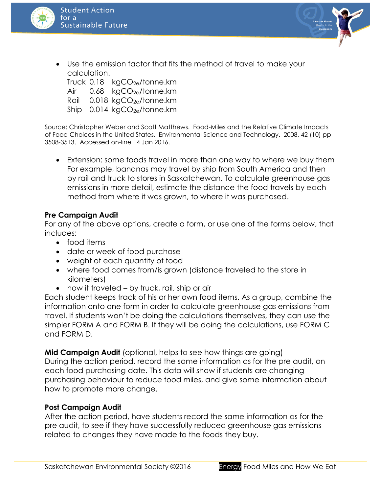



 Use the emission factor that fits the method of travel to make your calculation.

Truck  $0.18$  kgCO<sub>2e</sub>/tonne.km Air  $0.68 \text{ kgCO}_{2e}/\text{tonne}$ .km Rail  $0.018 \text{ kgCO}_{2e}/\text{tonne}$ .km Ship  $0.014 \text{ kgCO}_{2e}/\text{tonne}$ .km

Source: Christopher Weber and Scott Matthews. Food-Miles and the Relative Climate Impacts of Food Choices in the United States. Environmental Science and Technology. 2008, 42 (10) pp 3508-3513. Accessed on-line 14 Jan 2016.

 Extension: some foods travel in more than one way to where we buy them For example, bananas may travel by ship from South America and then by rail and truck to stores in Saskatchewan. To calculate greenhouse gas emissions in more detail, estimate the distance the food travels by each method from where it was grown, to where it was purchased.

### **Pre Campaign Audit**

For any of the above options, create a form, or use one of the forms below, that includes:

- food items
- date or week of food purchase
- weight of each quantity of food
- where food comes from/is grown (distance traveled to the store in kilometers)
- how it traveled by truck, rail, ship or air

Each student keeps track of his or her own food items. As a group, combine the information onto one form in order to calculate greenhouse gas emissions from travel. If students won't be doing the calculations themselves, they can use the simpler FORM A and FORM B. If they will be doing the calculations, use FORM C and FORM D.

**Mid Campaign Audit** (optional, helps to see how things are going) During the action period, record the same information as for the pre audit, on each food purchasing date. This data will show if students are changing purchasing behaviour to reduce food miles, and give some information about how to promote more change.

# **Post Campaign Audit**

After the action period, have students record the same information as for the pre audit, to see if they have successfully reduced greenhouse gas emissions related to changes they have made to the foods they buy.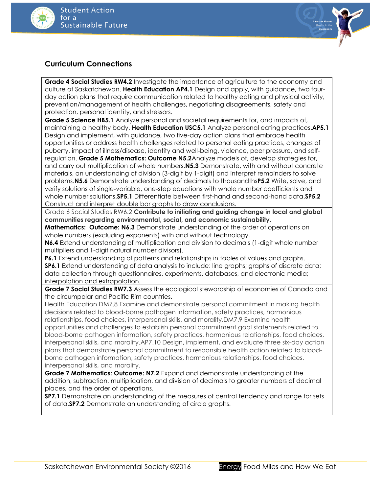



### **Curriculum Connections**

**Grade 4 Social Studies RW4.2** Investigate the importance of agriculture to the economy and culture of Saskatchewan. **Health Education AP4.1** Design and apply, with guidance, two fourday action plans that require communication related to healthy eating and physical activity, prevention/management of health challenges, negotiating disagreements, safety and protection, personal identity, and stressors.

**Grade 5 Science HB5.1** Analyze personal and societal requirements for, and impacts of, maintaining a healthy body. **Health Education USC5.1** Analyze personal eating practices.**AP5.1** Design and implement, with guidance, two five-day action plans that embrace health opportunities or address health challenges related to personal eating practices, changes of puberty, impact of illness/disease, identity and well-being, violence, peer pressure, and selfregulation. **Grade 5 Mathematics: Outcome N5.2**Analyze models of, develop strategies for, and carry out multiplication of whole numbers.**N5.3** Demonstrate, with and without concrete materials, an understanding of division (3-digit by 1-digit) and interpret remainders to solve problems.**N5.6** Demonstrate understanding of decimals to thousandths**P5.2** Write, solve, and verify solutions of single-variable, one-step equations with whole number coefficients and whole number solutions.**SP5.1** Differentiate between first-hand and second-hand data.**SP5.2**  Construct and interpret double bar graphs to draw conclusions.

Grade 6 Social Studies RW6.2 **Contribute to initiating and guiding change in local and global communities regarding environmental, social, and economic sustainability.**

**Mathematics: Outcome: N6.3** Demonstrate understanding of the order of operations on whole numbers (excluding exponents) with and without technology.

**N6.4** Extend understanding of multiplication and division to decimals (1-digit whole number multipliers and 1-digit natural number divisors).

**P6.1** Extend understanding of patterns and relationships in tables of values and graphs. **SP6.1** Extend understanding of data analysis to include: line graphs; graphs of discrete data; data collection through questionnaires, experiments, databases, and electronic media; interpolation and extrapolation.

**Grade 7 Social Studies RW7.3** Assess the ecological stewardship of economies of Canada and the circumpolar and Pacific Rim countries.

Health Education DM7.8 Examine and demonstrate personal commitment in making health decisions related to blood-borne pathogen information, safety practices, harmonious relationships, food choices, interpersonal skills, and morality.DM7.9 Examine health opportunities and challenges to establish personal commitment goal statements related to blood-borne pathogen information, safety practices, harmonious relationships, food choices, interpersonal skills, and morality.AP7.10 Design, implement, and evaluate three six-day action plans that demonstrate personal commitment to responsible health action related to bloodborne pathogen information, safety practices, harmonious relationships, food choices, interpersonal skills, and morality.

**Grade 7 Mathematics: Outcome: N7.2** Expand and demonstrate understanding of the addition, subtraction, multiplication, and division of decimals to greater numbers of decimal places, and the order of operations.

**SP7.1** Demonstrate an understanding of the measures of central tendency and range for sets of data.**SP7.2** Demonstrate an understanding of circle graphs.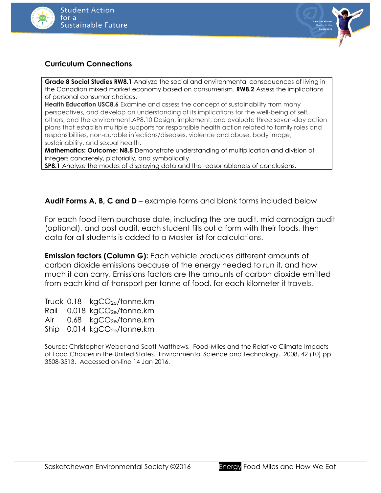



### **Curriculum Connections**

**Grade 8 Social Studies RW8.1** Analyze the social and environmental consequences of living in the Canadian mixed market economy based on consumerism. **RW8.2** Assess the implications of personal consumer choices.

**Health Education USC8.6** Examine and assess the concept of sustainability from many perspectives, and develop an understanding of its implications for the well-being of self, others, and the environment.AP8.10 Design, implement, and evaluate three seven-day action plans that establish multiple supports for responsible health action related to family roles and responsibilities, non-curable infections/diseases, violence and abuse, body image, sustainability, and sexual health.

**Mathematics: Outcome: N8.5** Demonstrate understanding of multiplication and division of integers concretely, pictorially, and symbolically.

**SP8.1** Analyze the modes of displaying data and the reasonableness of conclusions.

**Audit Forms A, B, C and D** – example forms and blank forms included below

For each food item purchase date, including the pre audit, mid campaign audit (optional), and post audit, each student fills out a form with their foods, then data for all students is added to a Master list for calculations.

**Emission factors (Column G):** Each vehicle produces different amounts of carbon dioxide emissions because of the energy needed to run it, and how much it can carry. Emissions factors are the amounts of carbon dioxide emitted from each kind of transport per tonne of food, for each kilometer it travels.

Truck  $0.18$  kgCO<sub>2e</sub>/tonne.km Rail 0.018 kgCO<sub>2e</sub>/tonne.km Air  $0.68 \text{ kgCO}_{2e}/\text{tonne.km}$ Ship  $0.014 \text{ kgCO}_{2e}/\text{tonne}$ .km

Source: Christopher Weber and Scott Matthews. Food-Miles and the Relative Climate Impacts of Food Choices in the United States. Environmental Science and Technology. 2008, 42 (10) pp 3508-3513. Accessed on-line 14 Jan 2016.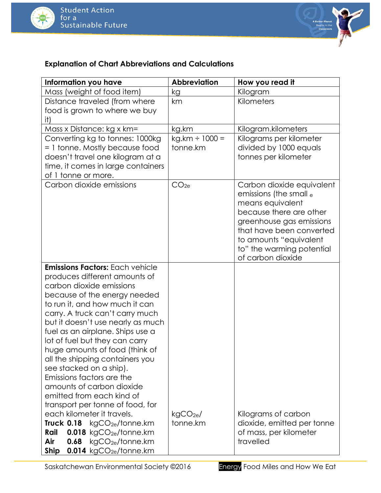



# **Explanation of Chart Abbreviations and Calculations**

| Information you have                                | <b>Abbreviation</b> | How you read it                                      |
|-----------------------------------------------------|---------------------|------------------------------------------------------|
| Mass (weight of food item)                          | kg                  | Kilogram                                             |
| Distance traveled (from where                       | km                  | Kilometers                                           |
| food is grown to where we buy                       |                     |                                                      |
| it)                                                 |                     |                                                      |
| Mass x Distance: kg x km=                           | kg.km               | Kilogram.kilometers                                  |
| Converting kg to tonnes: 1000kg                     | $kg.km \div 1000 =$ | Kilograms per kilometer                              |
| = 1 tonne. Mostly because food                      | tonne.km            | divided by 1000 equals                               |
| doesn't travel one kilogram at a                    |                     | tonnes per kilometer                                 |
| time, it comes in large containers                  |                     |                                                      |
| of 1 tonne or more.                                 |                     |                                                      |
| Carbon dioxide emissions                            | CO <sub>2e</sub>    | Carbon dioxide equivalent                            |
|                                                     |                     | emissions (the small $_e$                            |
|                                                     |                     | means equivalent                                     |
|                                                     |                     | because there are other                              |
|                                                     |                     | greenhouse gas emissions<br>that have been converted |
|                                                     |                     | to amounts "equivalent                               |
|                                                     |                     | to" the warming potential                            |
|                                                     |                     | of carbon dioxide                                    |
| <b>Emissions Factors: Each vehicle</b>              |                     |                                                      |
| produces different amounts of                       |                     |                                                      |
| carbon dioxide emissions                            |                     |                                                      |
| because of the energy needed                        |                     |                                                      |
| to run it, and how much it can                      |                     |                                                      |
| carry. A truck can't carry much                     |                     |                                                      |
| but it doesn't use nearly as much                   |                     |                                                      |
| fuel as an airplane. Ships use a                    |                     |                                                      |
| lot of fuel but they can carry                      |                     |                                                      |
| huge amounts of food (think of                      |                     |                                                      |
| all the shipping containers you                     |                     |                                                      |
| see stacked on a ship).                             |                     |                                                      |
| Emissions factors are the                           |                     |                                                      |
| amounts of carbon dioxide                           |                     |                                                      |
| emitted from each kind of                           |                     |                                                      |
| transport per tonne of food, for                    |                     |                                                      |
| each kilometer it travels.                          | $kgCO2e$ /          | Kilograms of carbon                                  |
| <b>Truck 0.18</b> $kgCO_{2e}/tonne.km$              | tonne.km            | dioxide, emitted per tonne                           |
| Rail<br>$0.018$ kgCO <sub>2e</sub> /tonne.km        |                     | of mass, per kilometer                               |
| Air<br>$kgCO_{2e}/tonne.km$<br>0.68                 |                     | travelled                                            |
| $0.014$ kgCO <sub>2e</sub> /tonne.km<br><b>Ship</b> |                     |                                                      |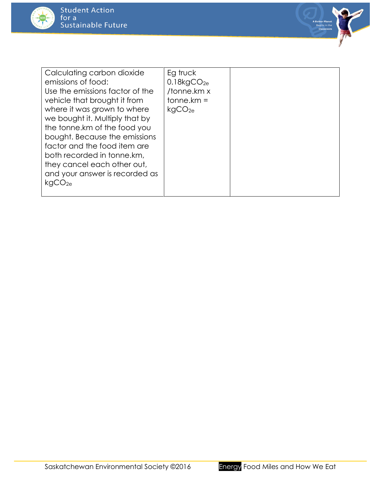



| Calculating carbon dioxide<br>emissions of food:<br>Use the emissions factor of the<br>vehicle that brought it from<br>where it was grown to where<br>we bought it. Multiply that by<br>the tonne.km of the food you<br>bought. Because the emissions<br>factor and the food item are<br>both recorded in tonne.km,<br>they cancel each other out,<br>and your answer is recorded as<br>kqCO <sub>2e</sub> | Eg truck<br>0.18kgCO <sub>2e</sub><br>/tonne.km x<br>$tonne.km =$<br>kgCO <sub>2e</sub> |  |
|------------------------------------------------------------------------------------------------------------------------------------------------------------------------------------------------------------------------------------------------------------------------------------------------------------------------------------------------------------------------------------------------------------|-----------------------------------------------------------------------------------------|--|
|                                                                                                                                                                                                                                                                                                                                                                                                            |                                                                                         |  |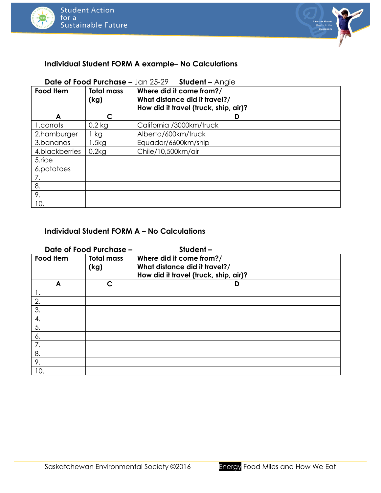



### **Individual Student FORM A example– No Calculations**

### **Date of Food Purchase –** Jan 25-29 **Student –** Angie

| <b>Food Item</b> | <b>Total mass</b><br>(kg) | Where did it come from?/<br>What distance did it travel?/<br>How did it travel (truck, ship, air)? |
|------------------|---------------------------|----------------------------------------------------------------------------------------------------|
| A                |                           | D                                                                                                  |
| 1.carrots        | $0.2$ kg                  | California /3000km/truck                                                                           |
| 2.hamburger      | kg                        | Alberta/600km/truck                                                                                |
| 3.bananas        | .5kg                      | Equador/6600km/ship                                                                                |
| 4.blackberries   | 0.2kg                     | Chile/10,500km/air                                                                                 |
| 5.rice           |                           |                                                                                                    |
| 6.potatoes       |                           |                                                                                                    |
| 7.               |                           |                                                                                                    |
| 8.               |                           |                                                                                                    |
| 9.               |                           |                                                                                                    |
| 10.              |                           |                                                                                                    |

#### **Individual Student FORM A – No Calculations**

| Date of Food Purchase -<br>Student- |                   |                                       |  |  |  |
|-------------------------------------|-------------------|---------------------------------------|--|--|--|
| <b>Food Item</b>                    | <b>Total mass</b> | Where did it come from?/              |  |  |  |
|                                     | (kg)              | What distance did it travel?/         |  |  |  |
|                                     |                   | How did it travel (truck, ship, air)? |  |  |  |
| A                                   | C                 | D                                     |  |  |  |
|                                     |                   |                                       |  |  |  |
| 2.                                  |                   |                                       |  |  |  |
| 3.                                  |                   |                                       |  |  |  |
| 4.                                  |                   |                                       |  |  |  |
| 5.                                  |                   |                                       |  |  |  |
| 6.                                  |                   |                                       |  |  |  |
| 7.                                  |                   |                                       |  |  |  |
| 8.                                  |                   |                                       |  |  |  |
| 9.                                  |                   |                                       |  |  |  |
| 10.                                 |                   |                                       |  |  |  |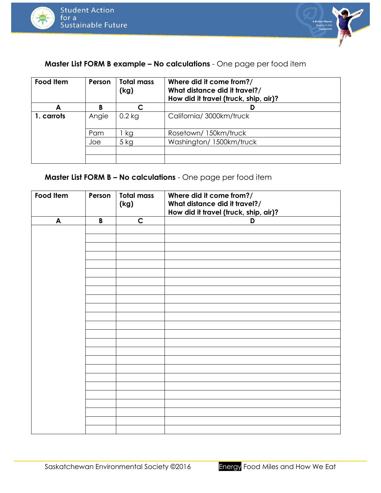



**Master List FORM B example – No calculations** - One page per food item

| Food Item  | Person | <b>Total mass</b><br>(kg) | Where did it come from?/<br>What distance did it travel?/<br>How did it travel (truck, ship, air)? |
|------------|--------|---------------------------|----------------------------------------------------------------------------------------------------|
| A          |        | C                         |                                                                                                    |
| 1. carrots | Angie  | $0.2$ kg                  | California/3000km/truck                                                                            |
|            | Pam    | kg                        | Rosetown/150km/truck                                                                               |
|            | Joe    | 5 kg                      | Washington/ 1500km/truck                                                                           |
|            |        |                           |                                                                                                    |
|            |        |                           |                                                                                                    |

**Master List FORM B – No calculations** - One page per food item

| Food Item | Person      | <b>Total mass</b><br>(kg) | Where did it come from?/<br>What distance did it travel?/<br>How did it travel (truck, ship, air)? |
|-----------|-------------|---------------------------|----------------------------------------------------------------------------------------------------|
| A         | $\mathsf B$ | $\mathsf{C}$              | D                                                                                                  |
|           |             |                           |                                                                                                    |
|           |             |                           |                                                                                                    |
|           |             |                           |                                                                                                    |
|           |             |                           |                                                                                                    |
|           |             |                           |                                                                                                    |
|           |             |                           |                                                                                                    |
|           |             |                           |                                                                                                    |
|           |             |                           |                                                                                                    |
|           |             |                           |                                                                                                    |
|           |             |                           |                                                                                                    |
|           |             |                           |                                                                                                    |
|           |             |                           |                                                                                                    |
|           |             |                           |                                                                                                    |
|           |             |                           |                                                                                                    |
|           |             |                           |                                                                                                    |
|           |             |                           |                                                                                                    |
|           |             |                           |                                                                                                    |
|           |             |                           |                                                                                                    |
|           |             |                           |                                                                                                    |
|           |             |                           |                                                                                                    |
|           |             |                           |                                                                                                    |
|           |             |                           |                                                                                                    |
|           |             |                           |                                                                                                    |
|           |             |                           |                                                                                                    |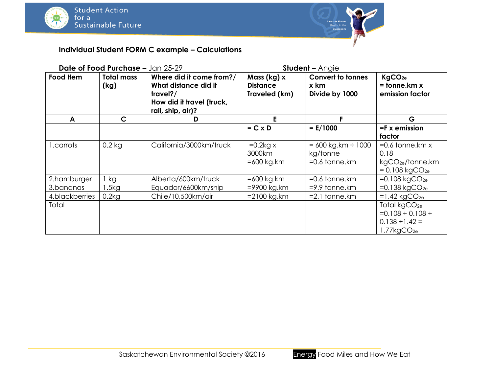



# **Individual Student FORM C example – Calculations**

|                | Date of Food Purchase - Jan 25-29 |                                                                                                                |                                                 | <b>Student - Angie</b>                                      |                                                                                              |
|----------------|-----------------------------------|----------------------------------------------------------------------------------------------------------------|-------------------------------------------------|-------------------------------------------------------------|----------------------------------------------------------------------------------------------|
| Food Item      | <b>Total mass</b><br>(kg)         | Where did it come from?/<br>What distance did it<br>travel?/<br>How did it travel (truck,<br>rail, ship, air)? | Mass (kg) x<br><b>Distance</b><br>Traveled (km) | <b>Convert to tonnes</b><br>x km<br>Divide by 1000          | KgCO <sub>2e</sub><br>$=$ tonne.km $x$<br>emission factor                                    |
| A              | $\mathsf{C}$                      | D                                                                                                              | E.                                              |                                                             | G                                                                                            |
|                |                                   |                                                                                                                | $= C \times D$                                  | $= E/1000$                                                  | $=$ F x emission<br>factor                                                                   |
| 1.carrots      | $0.2$ kg                          | California/3000km/truck                                                                                        | $=0.2$ kg x<br>3000km<br>$=600$ kg.km           | $= 600$ kg.km $\div$ 1000<br>kg/tonne<br>$=0.6$ tonne. $km$ | $=0.6$ tonne.km $x$<br>0.18<br>kgCO <sub>2e</sub> /tonne.km<br>$= 0.108$ kgCO <sub>2e</sub>  |
| 2.hamburger    | kg                                | Alberta/600km/truck                                                                                            | $=600$ kg.km                                    | $=0.6$ tonne. $km$                                          | $=0.108$ kgCO <sub>2e</sub>                                                                  |
| 3.bananas      | .5kg                              | Equador/6600km/ship                                                                                            | =9900 kg.km                                     | $=$ 9.9 tonne. $km$                                         | $=0.138$ kgCO <sub>2e</sub>                                                                  |
| 4.blackberries | 0.2kg                             | Chile/10,500km/air                                                                                             | $= 2100$ kg.km                                  | $=2.1$ tonne. $km$                                          | $=1.42$ kgCO <sub>2e</sub>                                                                   |
| Total          |                                   |                                                                                                                |                                                 |                                                             | Total kgCO <sub>2e</sub><br>$=0.108 + 0.108 +$<br>$0.138 + 1.42 =$<br>1.77kgCO <sub>2e</sub> |

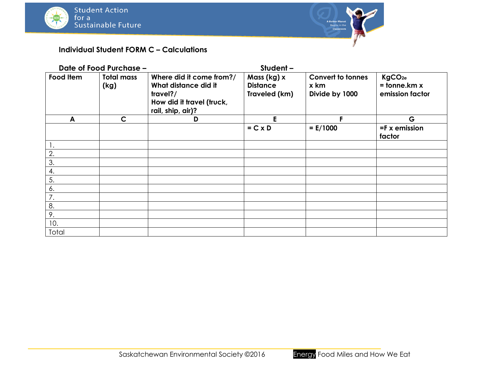

# **Individual Student FORM C – Calculations**

|           | Date of Food Purchase -   |                                                                                                                | Student-                                        |                                                    |                                                           |
|-----------|---------------------------|----------------------------------------------------------------------------------------------------------------|-------------------------------------------------|----------------------------------------------------|-----------------------------------------------------------|
| Food Item | <b>Total mass</b><br>(kg) | Where did it come from?/<br>What distance did it<br>travel?/<br>How did it travel (truck,<br>rail, ship, air)? | Mass (kg) x<br><b>Distance</b><br>Traveled (km) | <b>Convert to tonnes</b><br>x km<br>Divide by 1000 | KgCO <sub>2e</sub><br>$=$ tonne.km $x$<br>emission factor |
| A         | $\mathsf{C}$              | D                                                                                                              | E                                               |                                                    | G                                                         |
|           |                           |                                                                                                                | $= C \times D$                                  | $= E/1000$                                         | $=$ F x emission<br>factor                                |
| 1.        |                           |                                                                                                                |                                                 |                                                    |                                                           |
| 2.        |                           |                                                                                                                |                                                 |                                                    |                                                           |
| 3.        |                           |                                                                                                                |                                                 |                                                    |                                                           |
| 4.        |                           |                                                                                                                |                                                 |                                                    |                                                           |
| 5.        |                           |                                                                                                                |                                                 |                                                    |                                                           |
| 6.        |                           |                                                                                                                |                                                 |                                                    |                                                           |
| 7.        |                           |                                                                                                                |                                                 |                                                    |                                                           |
| 8.        |                           |                                                                                                                |                                                 |                                                    |                                                           |
| 9.        |                           |                                                                                                                |                                                 |                                                    |                                                           |
| 10.       |                           |                                                                                                                |                                                 |                                                    |                                                           |
| Total     |                           |                                                                                                                |                                                 |                                                    |                                                           |



A Better Planet<br>Begins in the<br>Classroom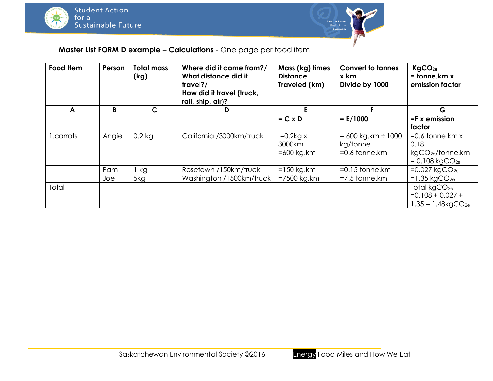



# **Master List FORM D example – Calculations** - One page per food item

| Food Item  | Person | <b>Total mass</b><br>(kg) | Where did it come from?/<br>What distance did it<br>travel?/<br>How did it travel (truck,<br>rail, ship, air)? | Mass (kg) times<br><b>Distance</b><br>Traveled (km) | <b>Convert to tonnes</b><br>x km<br>Divide by 1000          | KgCO <sub>2e</sub><br>$=$ tonne.km $x$<br>emission factor                                  |
|------------|--------|---------------------------|----------------------------------------------------------------------------------------------------------------|-----------------------------------------------------|-------------------------------------------------------------|--------------------------------------------------------------------------------------------|
| A          | B      | $\mathsf{C}$              | D                                                                                                              |                                                     |                                                             | G                                                                                          |
|            |        |                           |                                                                                                                | $= C \times D$                                      | $= E/1000$                                                  | $=$ F x emission<br>factor                                                                 |
| l .carrots | Angie  | $0.2$ kg                  | California /3000km/truck                                                                                       | $=0.2$ kg x<br>3000km<br>$=600$ kg.km               | $= 600$ kg.km $\div$ 1000<br>kg/tonne<br>$=0.6$ tonne. $km$ | $=0.6$ tonne.km $x$<br>0.18<br>kgCO <sub>2e</sub> /tonne.km<br>$= 0.108 \text{ kgCO}_{2e}$ |
|            | Pam    | , kg                      | Rosetown /150km/truck                                                                                          | $=150$ kg.km                                        | $=0.15$ tonne.km                                            | $=0.027$ kgCO <sub>2e</sub>                                                                |
|            | Joe    | 5kg                       | Washington /1500km/truck                                                                                       | $=7500$ kg.km                                       | $=7.5$ tonne. $km$                                          | $=1.35 \text{ kgCO}_{2e}$                                                                  |
| Total      |        |                           |                                                                                                                |                                                     |                                                             | Total kgCO <sub>2e</sub><br>$=0.108 + 0.027 +$<br>$1.35 = 1.48$ kgCO <sub>2e</sub>         |